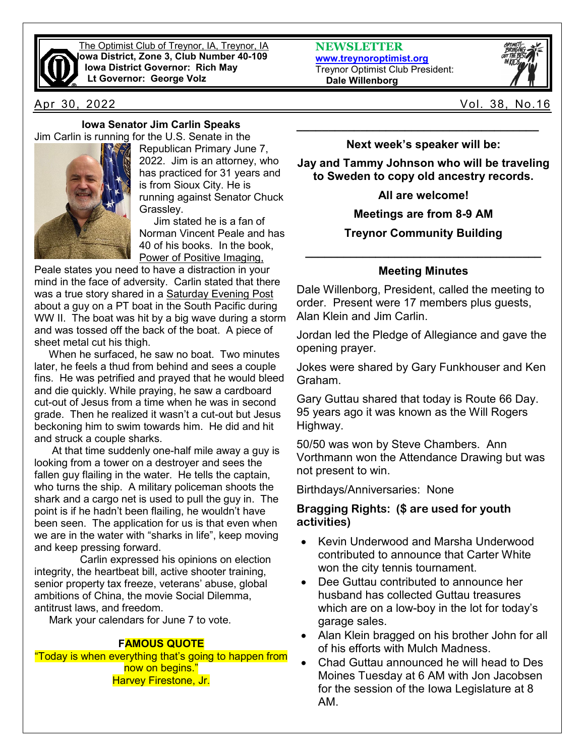

The Optimist Club of Treynor, IA, Treynor, IA **Iowa District, Zone 3, Club Number 40-109 Iowa District Governor: Rich May Lt Governor: George Volz**

**Iowa Senator Jim Carlin Speaks** Jim Carlin is running for the U.S. Senate in the



Republican Primary June 7, 2022. Jim is an attorney, who has practiced for 31 years and is from Sioux City. He is running against Senator Chuck Grassley.

 Jim stated he is a fan of Norman Vincent Peale and has 40 of his books. In the book, Power of Positive Imaging,

Peale states you need to have a distraction in your mind in the face of adversity. Carlin stated that there was a true story shared in a Saturday Evening Post about a guy on a PT boat in the South Pacific during WW II. The boat was hit by a big wave during a storm and was tossed off the back of the boat. A piece of sheet metal cut his thigh.

 When he surfaced, he saw no boat. Two minutes later, he feels a thud from behind and sees a couple fins. He was petrified and prayed that he would bleed and die quickly. While praying, he saw a cardboard cut-out of Jesus from a time when he was in second grade. Then he realized it wasn't a cut-out but Jesus beckoning him to swim towards him. He did and hit and struck a couple sharks.

 At that time suddenly one-half mile away a guy is looking from a tower on a destroyer and sees the fallen guy flailing in the water. He tells the captain, who turns the ship. A military policeman shoots the shark and a cargo net is used to pull the guy in. The point is if he hadn't been flailing, he wouldn't have been seen. The application for us is that even when we are in the water with "sharks in life", keep moving and keep pressing forward.

Carlin expressed his opinions on election integrity, the heartbeat bill, active shooter training, senior property tax freeze, veterans' abuse, global ambitions of China, the movie Social Dilemma, antitrust laws, and freedom.

Mark your calendars for June 7 to vote.

### **FAMOUS QUOTE**

"Today is when everything that's going to happen from now on begins." Harvey Firestone, Jr.

**NEWSLETTER [www.treynoroptimist.org](http://www.treynoroptimist.org/)** Treynor Optimist Club President:  **Dale Willenborg**



Apr 30, 2022 Vol. 38, No.16

**Next week's speaker will be:**

**\_\_\_\_\_\_\_\_\_\_\_\_\_\_\_\_\_\_\_\_\_\_\_\_\_\_\_\_\_\_\_\_\_\_\_\_\_\_**

**Jay and Tammy Johnson who will be traveling to Sweden to copy old ancestry records.**

**All are welcome!**

**Meetings are from 8-9 AM**

**Treynor Community Building**

# **\_\_\_\_\_\_\_\_\_\_\_\_\_\_\_\_\_\_\_\_\_\_\_\_\_\_\_\_\_\_\_\_\_\_\_\_\_ Meeting Minutes**

Dale Willenborg, President, called the meeting to order. Present were 17 members plus guests, Alan Klein and Jim Carlin.

Jordan led the Pledge of Allegiance and gave the opening prayer.

Jokes were shared by Gary Funkhouser and Ken Graham.

Gary Guttau shared that today is Route 66 Day. 95 years ago it was known as the Will Rogers Highway.

50/50 was won by Steve Chambers. Ann Vorthmann won the Attendance Drawing but was not present to win.

Birthdays/Anniversaries: None

### **Bragging Rights: (\$ are used for youth activities)**

- Kevin Underwood and Marsha Underwood contributed to announce that Carter White won the city tennis tournament.
- Dee Guttau contributed to announce her husband has collected Guttau treasures which are on a low-boy in the lot for today's garage sales.
- Alan Klein bragged on his brother John for all of his efforts with Mulch Madness.
- Chad Guttau announced he will head to Des Moines Tuesday at 6 AM with Jon Jacobsen for the session of the Iowa Legislature at 8 AM.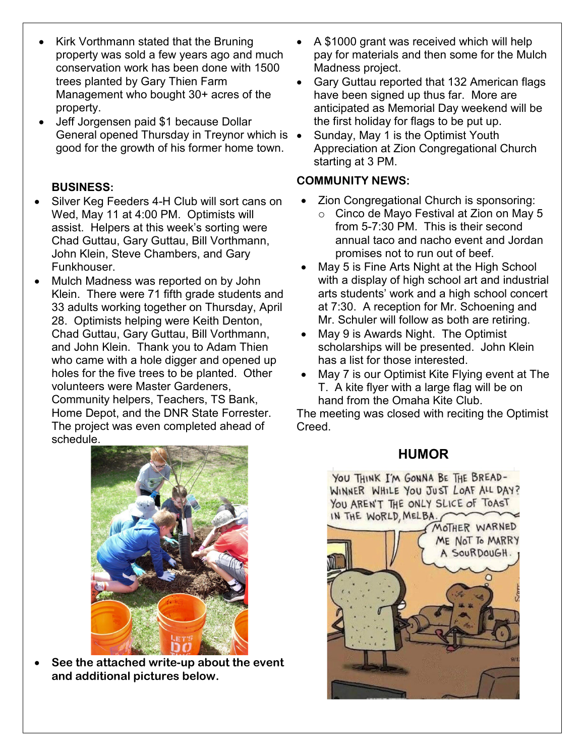- Kirk Vorthmann stated that the Bruning property was sold a few years ago and much conservation work has been done with 1500 trees planted by Gary Thien Farm Management who bought 30+ acres of the property.
- Jeff Jorgensen paid \$1 because Dollar General opened Thursday in Treynor which is • good for the growth of his former home town.

## **BUSINESS:**

- Silver Keg Feeders 4-H Club will sort cans on Wed, May 11 at 4:00 PM. Optimists will assist. Helpers at this week's sorting were Chad Guttau, Gary Guttau, Bill Vorthmann, John Klein, Steve Chambers, and Gary Funkhouser.
- Mulch Madness was reported on by John Klein. There were 71 fifth grade students and 33 adults working together on Thursday, April 28. Optimists helping were Keith Denton, Chad Guttau, Gary Guttau, Bill Vorthmann, and John Klein. Thank you to Adam Thien who came with a hole digger and opened up holes for the five trees to be planted. Other volunteers were Master Gardeners, Community helpers, Teachers, TS Bank, Home Depot, and the DNR State Forrester.

The project was even completed ahead of schedule.



- Gary Guttau reported that 132 American flags have been signed up thus far. More are anticipated as Memorial Day weekend will be the first holiday for flags to be put up.
- Sunday, May 1 is the Optimist Youth Appreciation at Zion Congregational Church starting at 3 PM.

# **COMMUNITY NEWS:**

- Zion Congregational Church is sponsoring:
	- o Cinco de Mayo Festival at Zion on May 5 from 5-7:30 PM. This is their second annual taco and nacho event and Jordan promises not to run out of beef.
- May 5 is Fine Arts Night at the High School with a display of high school art and industrial arts students' work and a high school concert at 7:30. A reception for Mr. Schoening and Mr. Schuler will follow as both are retiring.
- May 9 is Awards Night. The Optimist scholarships will be presented. John Klein has a list for those interested.
- May 7 is our Optimist Kite Flying event at The T. A kite flyer with a large flag will be on hand from the Omaha Kite Club.

The meeting was closed with reciting the Optimist Creed.

# **HUMOR**

YOU THINK I'M GONNA BE THE BREAD-WINNER WHILE YOU JUST LOAF ALL DAY? YOU AREN'T THE ONLY SLICE OF TOAST IN THE WORLD, MELBA.





• **See the attached write-up about the event and additional pictures below.**